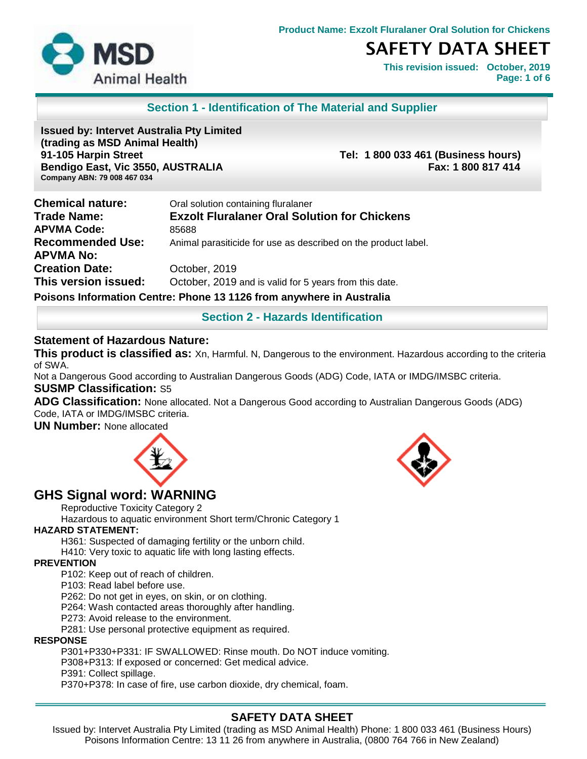

**This revision issued: October, 2019 Page: 1 of 6**

## **Section 1 - Identification of The Material and Supplier**

**Issued by: Intervet Australia Pty Limited (trading as MSD Animal Health) 91-105 Harpin Street Tel: 1 800 033 461 (Business hours) Bendigo East, Vic 3550, AUSTRALIA Fax: 1 800 817 414 Company ABN: 79 008 467 034**

| <b>Chemical nature:</b> | Oral solution containing fluralaner                                  |
|-------------------------|----------------------------------------------------------------------|
| Trade Name:             | <b>Exzolt Fluralaner Oral Solution for Chickens</b>                  |
| <b>APVMA Code:</b>      | 85688                                                                |
| <b>Recommended Use:</b> | Animal parasiticide for use as described on the product label.       |
| APVMA No:               |                                                                      |
| <b>Creation Date:</b>   | October, 2019                                                        |
| This version issued:    | October, 2019 and is valid for 5 years from this date.               |
|                         | Poisons Information Centre: Phone 13 1126 from anywhere in Australia |

**Section 2 - Hazards Identification** 

#### **Statement of Hazardous Nature:**

**This product is classified as:** Xn, Harmful. N, Dangerous to the environment. Hazardous according to the criteria of SWA.

Not a Dangerous Good according to Australian Dangerous Goods (ADG) Code, IATA or IMDG/IMSBC criteria. **SUSMP Classification:** S5

**ADG Classification:** None allocated. Not a Dangerous Good according to Australian Dangerous Goods (ADG) Code, IATA or IMDG/IMSBC criteria.

**UN Number:** None allocated





# **GHS Signal word: WARNING**

Reproductive Toxicity Category 2

Hazardous to aquatic environment Short term/Chronic Category 1

### **HAZARD STATEMENT:**

H361: Suspected of damaging fertility or the unborn child.

H410: Very toxic to aquatic life with long lasting effects.

#### **PREVENTION**

P102: Keep out of reach of children.

P103: Read label before use.

P262: Do not get in eyes, on skin, or on clothing.

P264: Wash contacted areas thoroughly after handling.

P273: Avoid release to the environment.

P281: Use personal protective equipment as required.

#### **RESPONSE**

P301+P330+P331: IF SWALLOWED: Rinse mouth. Do NOT induce vomiting.

P308+P313: If exposed or concerned: Get medical advice.

P391: Collect spillage.

P370+P378: In case of fire, use carbon dioxide, dry chemical, foam.

# **SAFETY DATA SHEET**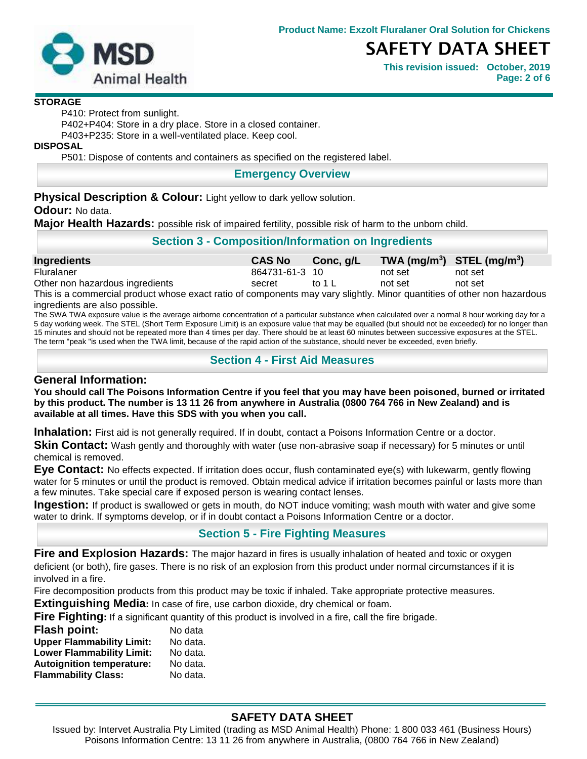

**This revision issued: October, 2019 Page: 2 of 6**

#### **STORAGE**

P410: Protect from sunlight.

P402+P404: Store in a dry place. Store in a closed container.

P403+P235: Store in a well-ventilated place. Keep cool.

**DISPOSAL**

P501: Dispose of contents and containers as specified on the registered label.

#### **Emergency Overview**

**Physical Description & Colour:** Light yellow to dark yellow solution.

**Odour:** No data.

**Major Health Hazards:** possible risk of impaired fertility, possible risk of harm to the unborn child.

## **Section 3 - Composition/Information on Ingredients**

| Ingredients                     | <b>CAS No</b>  | Conc, g/L |         | $TWA$ (mg/m <sup>3</sup> ) STEL (mg/m <sup>3</sup> ) |
|---------------------------------|----------------|-----------|---------|------------------------------------------------------|
| Fluralaner                      | 864731-61-3 10 |           | not set | not set                                              |
| Other non hazardous ingredients | secret         | to 1 L    | not set | not set                                              |
| ____                            |                |           |         |                                                      |

This is a commercial product whose exact ratio of components may vary slightly. Minor quantities of other non hazardous ingredients are also possible.

The SWA TWA exposure value is the average airborne concentration of a particular substance when calculated over a normal 8 hour working day for a 5 day working week. The STEL (Short Term Exposure Limit) is an exposure value that may be equalled (but should not be exceeded) for no longer than 15 minutes and should not be repeated more than 4 times per day. There should be at least 60 minutes between successive exposures at the STEL. The term "peak "is used when the TWA limit, because of the rapid action of the substance, should never be exceeded, even briefly.

## **Section 4 - First Aid Measures**

### **General Information:**

**You should call The Poisons Information Centre if you feel that you may have been poisoned, burned or irritated by this product. The number is 13 11 26 from anywhere in Australia (0800 764 766 in New Zealand) and is available at all times. Have this SDS with you when you call.** 

**Inhalation:** First aid is not generally required. If in doubt, contact a Poisons Information Centre or a doctor.

**Skin Contact:** Wash gently and thoroughly with water (use non-abrasive soap if necessary) for 5 minutes or until chemical is removed.

**Eye Contact:** No effects expected. If irritation does occur, flush contaminated eye(s) with lukewarm, gently flowing water for 5 minutes or until the product is removed. Obtain medical advice if irritation becomes painful or lasts more than a few minutes. Take special care if exposed person is wearing contact lenses.

**Ingestion:** If product is swallowed or gets in mouth, do NOT induce vomiting; wash mouth with water and give some water to drink. If symptoms develop, or if in doubt contact a Poisons Information Centre or a doctor.

# **Section 5 - Fire Fighting Measures**

**Fire and Explosion Hazards:** The major hazard in fires is usually inhalation of heated and toxic or oxygen deficient (or both), fire gases. There is no risk of an explosion from this product under normal circumstances if it is involved in a fire.

Fire decomposition products from this product may be toxic if inhaled. Take appropriate protective measures.

**Extinguishing Media:** In case of fire, use carbon dioxide, dry chemical or foam.

**Fire Fighting:** If a significant quantity of this product is involved in a fire, call the fire brigade.

| <b>Flash point:</b>              | No data  |
|----------------------------------|----------|
| <b>Upper Flammability Limit:</b> | No data. |
| <b>Lower Flammability Limit:</b> | No data. |
| <b>Autoignition temperature:</b> | No data. |
| <b>Flammability Class:</b>       | No data. |

# **SAFETY DATA SHEET**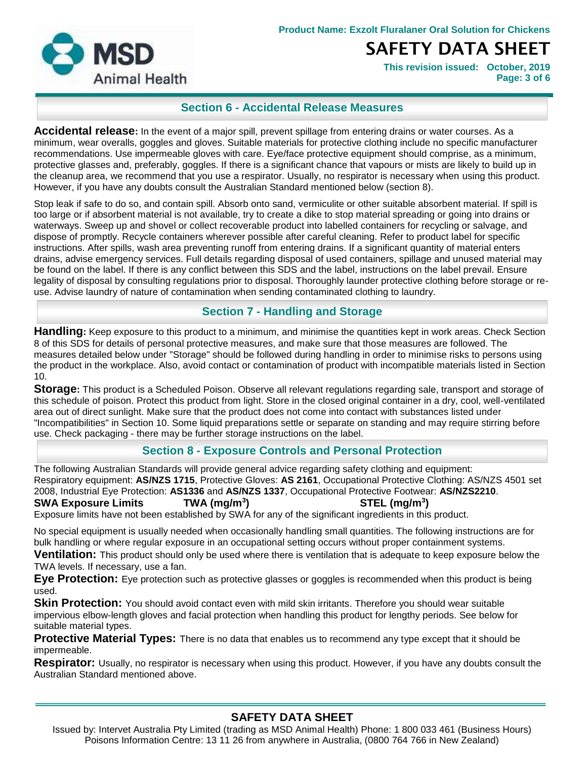

**This revision issued: October, 2019 Page: 3 of 6**

# **Section 6 - Accidental Release Measures**

**Accidental release:** In the event of a major spill, prevent spillage from entering drains or water courses. As a minimum, wear overalls, goggles and gloves. Suitable materials for protective clothing include no specific manufacturer recommendations. Use impermeable gloves with care. Eye/face protective equipment should comprise, as a minimum, protective glasses and, preferably, goggles. If there is a significant chance that vapours or mists are likely to build up in the cleanup area, we recommend that you use a respirator. Usually, no respirator is necessary when using this product. However, if you have any doubts consult the Australian Standard mentioned below (section 8).

Stop leak if safe to do so, and contain spill. Absorb onto sand, vermiculite or other suitable absorbent material. If spill is too large or if absorbent material is not available, try to create a dike to stop material spreading or going into drains or waterways. Sweep up and shovel or collect recoverable product into labelled containers for recycling or salvage, and dispose of promptly. Recycle containers wherever possible after careful cleaning. Refer to product label for specific instructions. After spills, wash area preventing runoff from entering drains. If a significant quantity of material enters drains, advise emergency services. Full details regarding disposal of used containers, spillage and unused material may be found on the label. If there is any conflict between this SDS and the label, instructions on the label prevail. Ensure legality of disposal by consulting regulations prior to disposal. Thoroughly launder protective clothing before storage or reuse. Advise laundry of nature of contamination when sending contaminated clothing to laundry.

## **Section 7 - Handling and Storage**

**Handling:** Keep exposure to this product to a minimum, and minimise the quantities kept in work areas. Check Section 8 of this SDS for details of personal protective measures, and make sure that those measures are followed. The measures detailed below under "Storage" should be followed during handling in order to minimise risks to persons using the product in the workplace. Also, avoid contact or contamination of product with incompatible materials listed in Section 10.

**Storage:** This product is a Scheduled Poison. Observe all relevant regulations regarding sale, transport and storage of this schedule of poison. Protect this product from light. Store in the closed original container in a dry, cool, well-ventilated area out of direct sunlight. Make sure that the product does not come into contact with substances listed under "Incompatibilities" in Section 10. Some liquid preparations settle or separate on standing and may require stirring before use. Check packaging - there may be further storage instructions on the label.

# **Section 8 - Exposure Controls and Personal Protection**

The following Australian Standards will provide general advice regarding safety clothing and equipment: Respiratory equipment: **AS/NZS 1715**, Protective Gloves: **AS 2161**, Occupational Protective Clothing: AS/NZS 4501 set 2008, Industrial Eye Protection: **AS1336** and **AS/NZS 1337**, Occupational Protective Footwear: **AS/NZS2210**.

#### **SWA Exposure Limits TWA (mg/m<sup>3</sup>**

**) STEL (mg/m<sup>3</sup> )** Exposure limits have not been established by SWA for any of the significant ingredients in this product.

No special equipment is usually needed when occasionally handling small quantities. The following instructions are for bulk handling or where regular exposure in an occupational setting occurs without proper containment systems.

**Ventilation:** This product should only be used where there is ventilation that is adequate to keep exposure below the TWA levels. If necessary, use a fan.

**Eye Protection:** Eye protection such as protective glasses or goggles is recommended when this product is being used.

**Skin Protection:** You should avoid contact even with mild skin irritants. Therefore you should wear suitable impervious elbow-length gloves and facial protection when handling this product for lengthy periods. See below for suitable material types.

**Protective Material Types:** There is no data that enables us to recommend any type except that it should be impermeable.

**Respirator:** Usually, no respirator is necessary when using this product. However, if you have any doubts consult the Australian Standard mentioned above.

# **SAFETY DATA SHEET**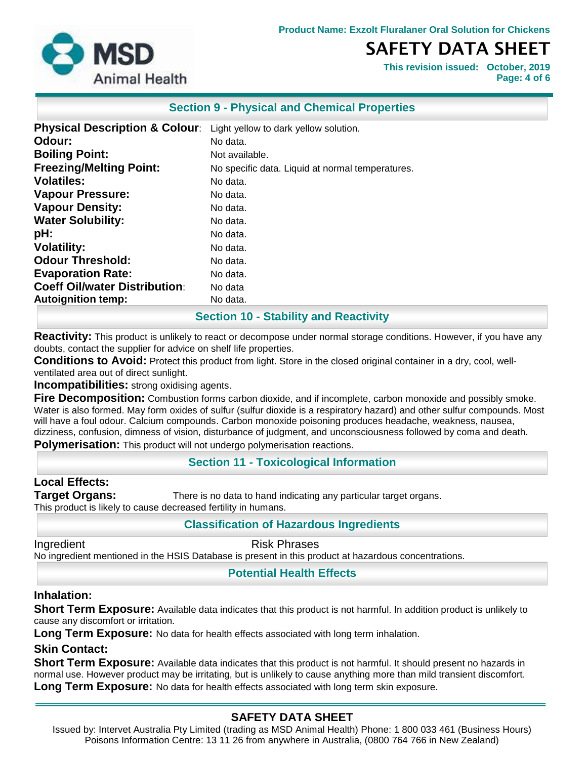**Product Name: Exzolt Fluralaner Oral Solution for Chickens**



# SAFETY DATA SHEET

**This revision issued: October, 2019 Page: 4 of 6**

### **Section 9 - Physical and Chemical Properties**

| <b>Physical Description &amp; Colour:</b> | Light yellow to dark yellow solution.            |
|-------------------------------------------|--------------------------------------------------|
| Odour:                                    | No data.                                         |
| <b>Boiling Point:</b>                     | Not available.                                   |
| <b>Freezing/Melting Point:</b>            | No specific data. Liquid at normal temperatures. |
| <b>Volatiles:</b>                         | No data.                                         |
| <b>Vapour Pressure:</b>                   | No data.                                         |
| <b>Vapour Density:</b>                    | No data.                                         |
| <b>Water Solubility:</b>                  | No data.                                         |
| pH:                                       | No data.                                         |
| <b>Volatility:</b>                        | No data.                                         |
| <b>Odour Threshold:</b>                   | No data.                                         |
| <b>Evaporation Rate:</b>                  | No data.                                         |
| <b>Coeff Oil/water Distribution:</b>      | No data                                          |
| <b>Autoignition temp:</b>                 | No data.                                         |

## **Section 10 - Stability and Reactivity**

**Reactivity:** This product is unlikely to react or decompose under normal storage conditions. However, if you have any doubts, contact the supplier for advice on shelf life properties.

**Conditions to Avoid:** Protect this product from light. Store in the closed original container in a dry, cool, wellventilated area out of direct sunlight.

**Incompatibilities:** strong oxidising agents.

**Fire Decomposition:** Combustion forms carbon dioxide, and if incomplete, carbon monoxide and possibly smoke. Water is also formed. May form oxides of sulfur (sulfur dioxide is a respiratory hazard) and other sulfur compounds. Most will have a foul odour. Calcium compounds. Carbon monoxide poisoning produces headache, weakness, nausea, dizziness, confusion, dimness of vision, disturbance of judgment, and unconsciousness followed by coma and death. **Polymerisation:** This product will not undergo polymerisation reactions.

#### **Section 11 - Toxicological Information**

**Local Effects: Target Organs:** There is no data to hand indicating any particular target organs. This product is likely to cause decreased fertility in humans.

## **Classification of Hazardous Ingredients**

Ingredient **Risk Phrases** 

No ingredient mentioned in the HSIS Database is present in this product at hazardous concentrations.

**Potential Health Effects**

#### **Inhalation:**

**Short Term Exposure:** Available data indicates that this product is not harmful. In addition product is unlikely to cause any discomfort or irritation.

Long Term Exposure: No data for health effects associated with long term inhalation.

## **Skin Contact:**

**Short Term Exposure:** Available data indicates that this product is not harmful. It should present no hazards in normal use. However product may be irritating, but is unlikely to cause anything more than mild transient discomfort. **Long Term Exposure:** No data for health effects associated with long term skin exposure.

# **SAFETY DATA SHEET**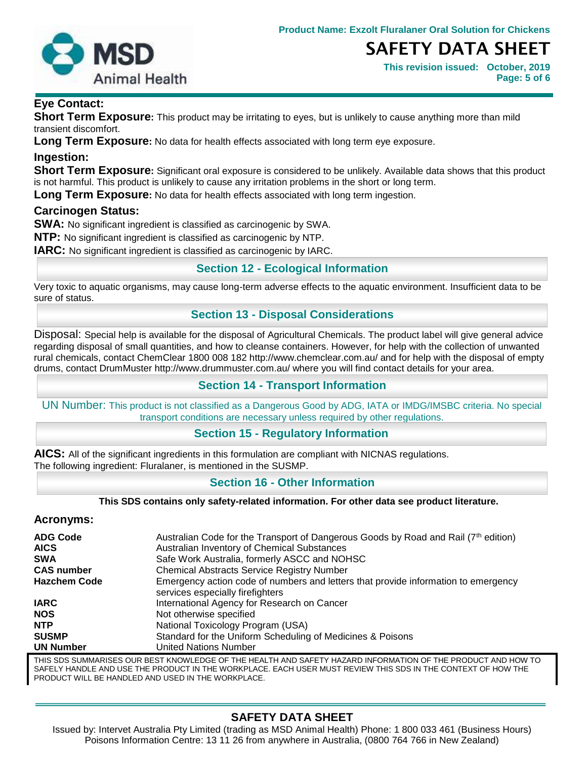

**This revision issued: October, 2019 Page: 5 of 6**

## **Eye Contact:**

**Short Term Exposure:** This product may be irritating to eyes, but is unlikely to cause anything more than mild transient discomfort.

**Long Term Exposure:** No data for health effects associated with long term eye exposure.

#### **Ingestion:**

**Short Term Exposure:** Significant oral exposure is considered to be unlikely. Available data shows that this product is not harmful. This product is unlikely to cause any irritation problems in the short or long term.

**Long Term Exposure:** No data for health effects associated with long term ingestion.

#### **Carcinogen Status:**

**SWA:** No significant ingredient is classified as carcinogenic by SWA.

**NTP:** No significant ingredient is classified as carcinogenic by NTP.

**IARC:** No significant ingredient is classified as carcinogenic by IARC.

## **Section 12 - Ecological Information**

Very toxic to aquatic organisms, may cause long-term adverse effects to the aquatic environment. Insufficient data to be sure of status.

## **Section 13 - Disposal Considerations**

Disposal: Special help is available for the disposal of Agricultural Chemicals. The product label will give general advice regarding disposal of small quantities, and how to cleanse containers. However, for help with the collection of unwanted rural chemicals, contact ChemClear 1800 008 182 http://www.chemclear.com.au/ and for help with the disposal of empty drums, contact DrumMuster http://www.drummuster.com.au/ where you will find contact details for your area.

### **Section 14 - Transport Information**

UN Number: This product is not classified as a Dangerous Good by ADG, IATA or IMDG/IMSBC criteria. No special transport conditions are necessary unless required by other regulations.

## **Section 15 - Regulatory Information**

**AICS:** All of the significant ingredients in this formulation are compliant with NICNAS regulations. The following ingredient: Fluralaner, is mentioned in the SUSMP.

## **Section 16 - Other Information**

#### **This SDS contains only safety-related information. For other data see product literature.**

#### **Acronyms:**

| <b>ADG Code</b><br><b>AICS</b> | Australian Code for the Transport of Dangerous Goods by Road and Rail (7 <sup>th</sup> edition)<br>Australian Inventory of Chemical Substances |
|--------------------------------|------------------------------------------------------------------------------------------------------------------------------------------------|
| <b>SWA</b>                     | Safe Work Australia, formerly ASCC and NOHSC                                                                                                   |
| <b>CAS number</b>              | <b>Chemical Abstracts Service Registry Number</b>                                                                                              |
| <b>Hazchem Code</b>            | Emergency action code of numbers and letters that provide information to emergency<br>services especially firefighters                         |
| <b>IARC</b>                    | International Agency for Research on Cancer                                                                                                    |
| <b>NOS</b>                     | Not otherwise specified                                                                                                                        |
| <b>NTP</b>                     | National Toxicology Program (USA)                                                                                                              |
| <b>SUSMP</b>                   | Standard for the Uniform Scheduling of Medicines & Poisons                                                                                     |
| <b>UN Number</b>               | <b>United Nations Number</b>                                                                                                                   |

THIS SDS SUMMARISES OUR BEST KNOWLEDGE OF THE HEALTH AND SAFETY HAZARD INFORMATION OF THE PRODUCT AND HOW TO SAFELY HANDLE AND USE THE PRODUCT IN THE WORKPLACE. EACH USER MUST REVIEW THIS SDS IN THE CONTEXT OF HOW THE PRODUCT WILL BE HANDLED AND USED IN THE WORKPLACE.

# **SAFETY DATA SHEET**